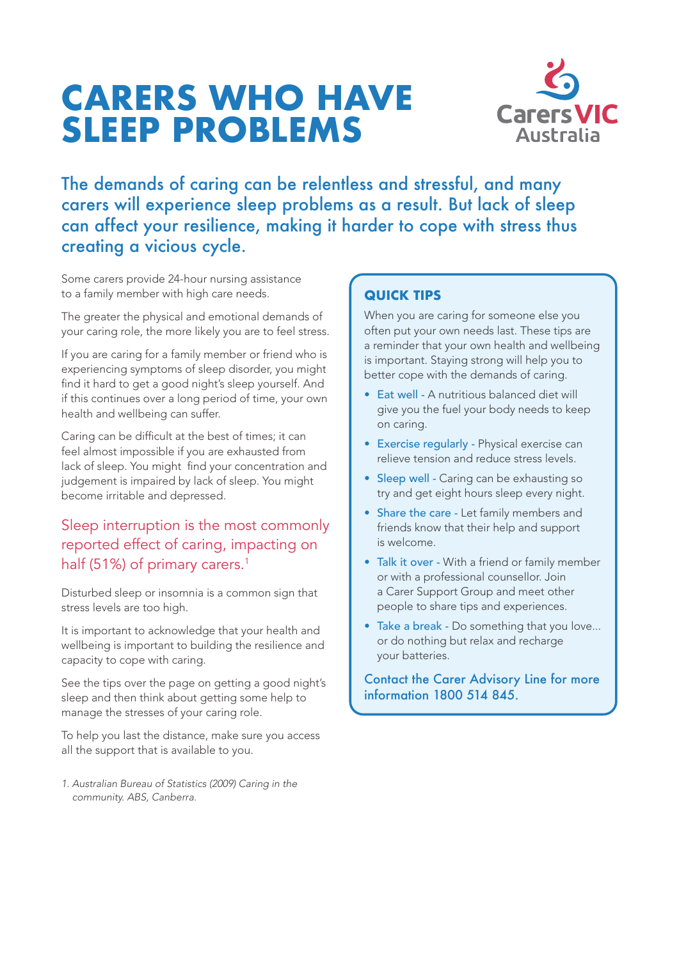# **CARERS WHO HAVE SLEEP PROBLEMS**



The demands of caring can be relentless and stressful, and many carers will experience sleep problems as a result. But lack of sleep can affect your resilience, making it harder to cope with stress thus creating a vicious cycle.

Some carers provide 24-hour nursing assistance to a family member with high care needs.

The greater the physical and emotional demands of your caring role, the more likely you are to feel stress.

If you are caring for a family member or friend who is experiencing symptoms of sleep disorder, you might find it hard to get a good night's sleep yourself. And if this continues over a long period of time, your own health and wellbeing can suffer.

Caring can be difficult at the best of times; it can feel almost impossible if you are exhausted from lack of sleep. You might find your concentration and judgement is impaired by lack of sleep. You might become irritable and depressed.

# Sleep interruption is the most commonly reported effect of caring, impacting on half (51%) of primary carers.<sup>1</sup>

Disturbed sleep or insomnia is a common sign that stress levels are too high.

It is important to acknowledge that your health and wellbeing is important to building the resilience and capacity to cope with caring.

See the tips over the page on getting a good night's sleep and then think about getting some help to manage the stresses of your caring role.

To help you last the distance, make sure you access all the support that is available to you.

*1. Australian Bureau of Statistics (2009) Caring in the community. ABS, Canberra.*

# **QUICK TIPS**

When you are caring for someone else you often put your own needs last. These tips are a reminder that your own health and wellbeing is important. Staying strong will help you to better cope with the demands of caring.

- Eat well A nutritious balanced diet will give you the fuel your body needs to keep on caring.
- Exercise regularly Physical exercise can relieve tension and reduce stress levels.
- Sleep well Caring can be exhausting so try and get eight hours sleep every night.
- Share the care Let family members and friends know that their help and support is welcome.
- Talk it over With a friend or family member or with a professional counsellor. Join a Carer Support Group and meet other people to share tips and experiences.
- Take a break Do something that you love... or do nothing but relax and recharge your batteries.

#### Contact the Carer Advisory Line for more information 1800 514 845.